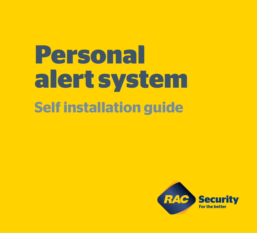# **Personal alert system Self installation guide**

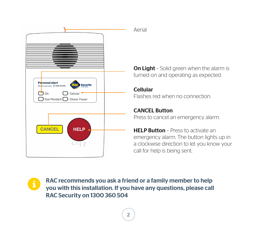

#### Aerial

**On Light** - Solid green when the alarm is turned on and operating as expected.

#### Cellular

Flashes red when no connection.

#### CANCEL Button

Press to cancel an emergency alarm.

**HELP Button** - Press to activate an emergency alarm. The button lights up in a clockwise direction to let you know your call for help is being sent.

RAC recommends you ask a friend or a family member to help you with this installation. If you have any questions, please call RAC Security on 1300 360 504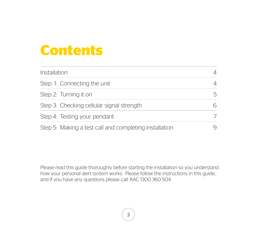# **Contents**

| Installation                                           | 4 |
|--------------------------------------------------------|---|
| Step 1: Connecting the unit                            | 4 |
| Step 2: Turning it on                                  | 5 |
| Step 3: Checking cellular signal strength              | 6 |
| Step 4: Testing your pendant                           | 7 |
| Step 5: Making a test call and completing installation | 9 |

Please read this guide thoroughly before starting the installation so you understand how your personal alert system works. Please follow the instructions in this guide, and if you have any questions please call: RAC 1300 360 504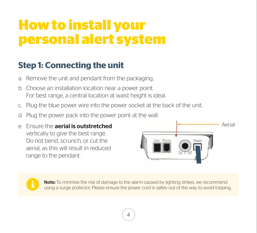# **How to install your personal alert system**

# **Step 1: Connecting the unit**

- a. Remove the unit and pendant from the packaging.
- b. Choose an installation location near a power point. For best range, a central location at waist height is ideal.
- c. Plug the blue power wire into the power socket at the back of the unit.
- d. Plug the power pack into the power point at the wall.
- e. Ensure the **aerial is outstretched** vertically to give the best range. Do not bend, scrunch, or cut the aerial, as this will result in reduced range to the pendant.





Note: To minmise the risk of damage to the alarm caused by lighting strikes, we recommend using a surge protector. Please ensure the power cord is safely out of the way to avoid tripping.

4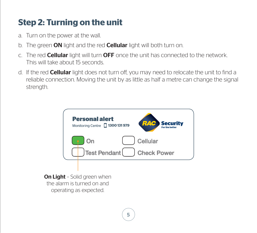# **Step 2: Turning on the unit**

- a. Turn on the power at the wall.
- b. The green ON light and the red **Cellular** light will both turn on.
- c. The red Cellular light will turn OFF once the unit has connected to the network. This will take about 15 seconds.
- d. If the red **Cellular** light does not turn off, you may need to relocate the unit to find a reliable connection. Moving the unit by as little as half a metre can change the signal strength.



**On Light** - Solid green when the alarm is turned on and operating as expected.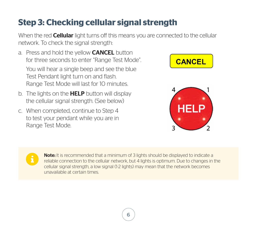# **Step 3: Checking cellular signal strength**

When the red **Cellular** light turns off this means you are connected to the cellular network. To check the signal strength:

- a. Press and hold the yellow **CANCEL** button for three seconds to enter "Range Test Mode". You will hear a single beep and see the blue Test Pendant light turn on and flash. Range Test Mode will last for 10 minutes.
- b. The lights on the **HELP** button will display the cellular signal strength. (See below)
- c. When completed, continue to Step 4 to test your pendant while you are in Range Test Mode.







Note: It is recommended that a minimum of 3 lights should be displayed to indicate a reliable connection to the cellular network, but 4 lights is optimum. Due to changes in the cellular signal strength, a low signal (1-2 lights) may mean that the network becomes unavailable at certain times.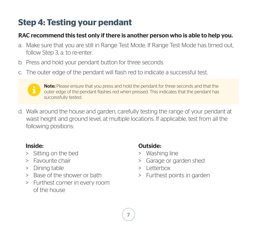# **Step 4: Testing your pendant**

#### RAC recommend this test only if there is another person who is able to help you.

- a. Make sure that you are still in Range Test Mode. If Range Test Mode has timed out, follow Step 3, a. to re-enter.
- b. Press and hold your pendant button for three seconds.
- c. The outer edge of the pendant will flash red to indicate a successful test.

Note: Please ensure that you press and hold the pendant for three seconds and that the outer edge of the pendant flashes red when pressed. This indicates that the pendant has successfully tested.

d. Walk around the house and garden, carefully testing the range of your pendant at waist height and ground level, at multiple locations. If applicable, test from all the following positions:

#### Inside:

- > Sitting on the bed
- > Favourite chair
- > Dining table
- > Base of the shower or bath
- > Furthest corner in every room of the house

### Outside:

- > Washing line
- > Garage or garden shed
- > Letterbox
- > Furthest points in garden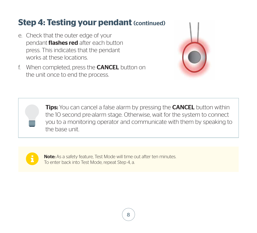## **Step 4: Testing your pendant (continued)**

- e. Check that the outer edge of your pendant **flashes red** after each button press. This indicates that the pendant works at these locations.
- f. When completed, press the CANCEL button on the unit once to end the process.



**Tips:** You can cancel a false alarm by pressing the **CANCEL** button within the 10 second pre-alarm stage. Otherwise, wait for the system to connect you to a monitoring operator and communicate with them by speaking to the base unit.



Note: As a safety feature, Test Mode will time out after ten minutes. To enter back into Test Mode, repeat Step 4, a.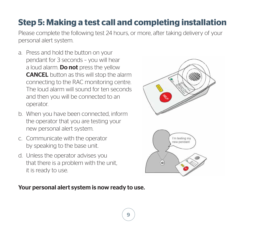# **Step 5: Making a test call and completing installation**

Please complete the following test 24 hours, or more, after taking delivery of your personal alert system.

- a. Press and hold the button on your pendant for 3 seconds – you will hear a loud alarm. **Do not** press the yellow CANCEL button as this will stop the alarm connecting to the RAC monitoring centre. The loud alarm will sound for ten seconds and then you will be connected to an operator.
- b. When you have been connected, inform the operator that you are testing your new personal alert system.
- c. Communicate with the operator by speaking to the base unit.
- d. Unless the operator advises you that there is a problem with the unit, it is ready to use.



#### Your personal alert system is now ready to use.